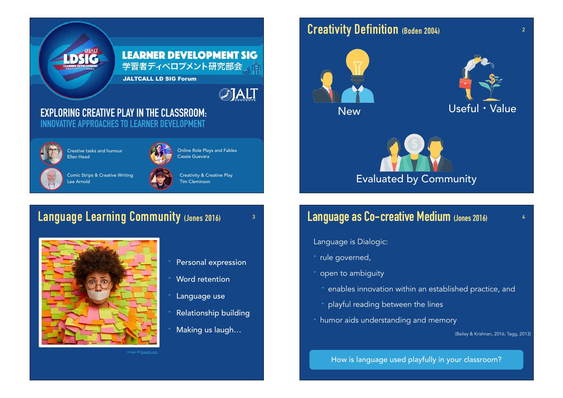

## **Language Learning Community (Jones 2016)**



Personal expression

**3**

- Word retention
- Language use
- ‣ Relationship building
- ‣ Making us laugh…

## **Creativity Definition (Boden 2004)**







## **Language as Co-creative Medium (Jones 2016)**

**2**

- Language is Dialogic:
- rule governed,
- ‣ open to ambiguity
	- ‣ enables innovation within an established practice, and
	- ‣ playful reading between the lines
- ‣ humor aids understanding and memory

(Bailey & Krishnan, 2016; Tagg, 2013)

How is language used playfully in your classroom?

mage @ free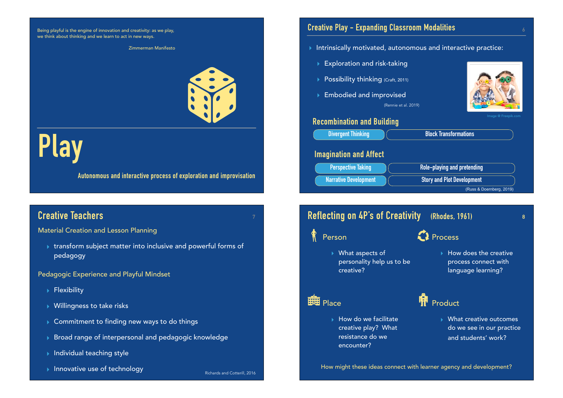Being playful is the engine of innovation and creativity: as we play, we think about thinking and we learn to act in new ways.

# **Play**

**Autonomous and interactive process of exploration and improvisation**

## **Creative Teachers <sup>7</sup>**

Material Creation and Lesson Planning

▸ transform subject matter into inclusive and powerful forms of pedagogy

#### Pedagogic Experience and Playful Mindset

- ▸ Flexibility
- ▸ Willingness to take risks
- ▸ Commitment to finding new ways to do things
- ▸ Broad range of interpersonal and pedagogic knowledge
- ▸ Individual teaching style
- → Innovative use of technology<br>Richards and Cotterill, 2016

#### **Creative Play - Expanding Classroom Modalities**

Zimmerman Manifesto ▸ Intrinsically motivated, autonomous and interactive practice:

(Rennie et al. 2019)

- **Exploration and risk-taking**
- ▶ Possibility thinking (Craft, 2011)
- ▸ Embodied and improvised



#### **Recombination and Building**



#### **Reflecting on 4P's of Creativity (Rhodes, 1961)** Person ▸ What aspects of personality help us to be creative? Place ▸ How do we facilitate creative play? What resistance do we encounter? **8**  $\Omega$  Process ▸ How does the creative process connect with language learning? **IN** Product ▸ What creative outcomes do we see in our practice and students' work? How might these ideas connect with learner agency and development?